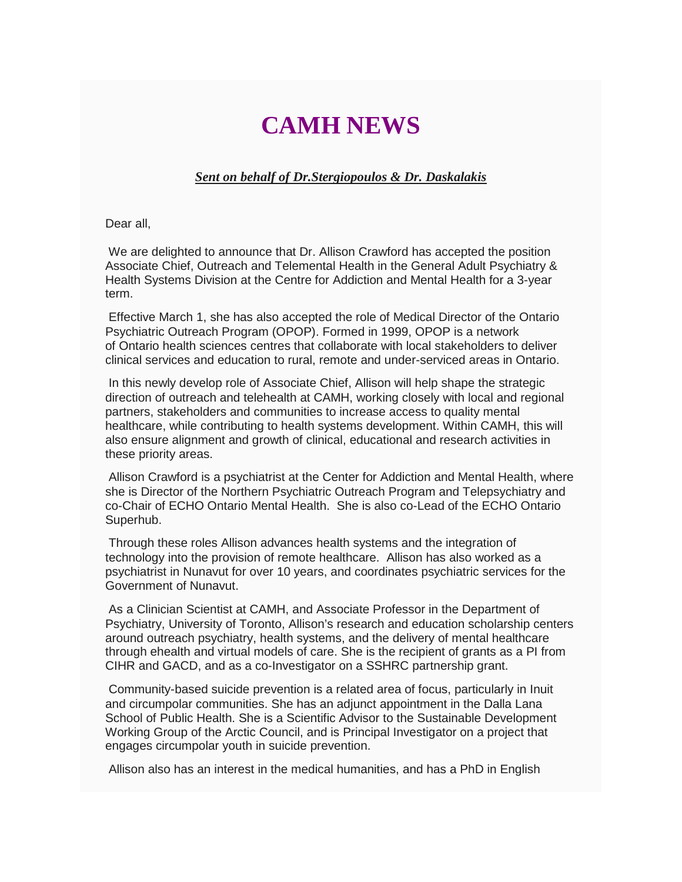## **CAMH NEWS**

## *Sent on behalf of Dr.Stergiopoulos & Dr. Daskalakis*

Dear all,

We are delighted to announce that Dr. Allison Crawford has accepted the position Associate Chief, Outreach and Telemental Health in the General Adult Psychiatry & Health Systems Division at the Centre for Addiction and Mental Health for a 3-year term.

Effective March 1, she has also accepted the role of Medical Director of the Ontario Psychiatric Outreach Program (OPOP). Formed in 1999, OPOP is a network of Ontario health sciences centres that collaborate with local stakeholders to deliver clinical services and education to rural, remote and under-serviced areas in Ontario.

In this newly develop role of Associate Chief, Allison will help shape the strategic direction of outreach and telehealth at CAMH, working closely with local and regional partners, stakeholders and communities to increase access to quality mental healthcare, while contributing to health systems development. Within CAMH, this will also ensure alignment and growth of clinical, educational and research activities in these priority areas.

Allison Crawford is a psychiatrist at the Center for Addiction and Mental Health, where she is Director of the Northern Psychiatric Outreach Program and Telepsychiatry and co-Chair of ECHO Ontario Mental Health. She is also co-Lead of the ECHO Ontario Superhub.

Through these roles Allison advances health systems and the integration of technology into the provision of remote healthcare. Allison has also worked as a psychiatrist in Nunavut for over 10 years, and coordinates psychiatric services for the Government of Nunavut.

As a Clinician Scientist at CAMH, and Associate Professor in the Department of Psychiatry, University of Toronto, Allison's research and education scholarship centers around outreach psychiatry, health systems, and the delivery of mental healthcare through ehealth and virtual models of care. She is the recipient of grants as a PI from CIHR and GACD, and as a co-Investigator on a SSHRC partnership grant.

Community-based suicide prevention is a related area of focus, particularly in Inuit and circumpolar communities. She has an adjunct appointment in the Dalla Lana School of Public Health. She is a Scientific Advisor to the Sustainable Development Working Group of the Arctic Council, and is Principal Investigator on a project that engages circumpolar youth in suicide prevention.

Allison also has an interest in the medical humanities, and has a PhD in English